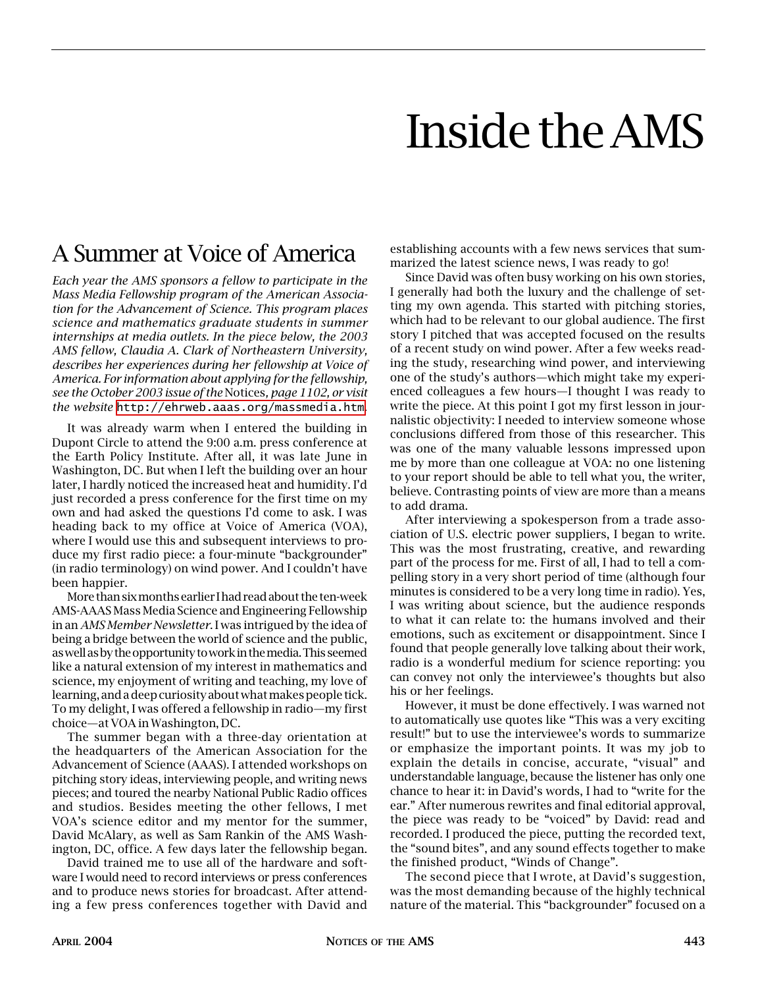# Inside the AMS

# A Summer at Voice of America

*Each year the AMS sponsors a fellow to participate in the Mass Media Fellowship program of the American Association for the Advancement of Science. This program places science and mathematics graduate students in summer internships at media outlets. In the piece below, the 2003 AMS fellow, Claudia A. Clark of Northeastern University, describes her experiences during her fellowship at Voice of America. For information about applying for the fellowship, see the October 2003 issue of the* Notices*, page 1102, or visit the website* <http://ehrweb.aaas.org/massmedia.htm>.

It was already warm when I entered the building in Dupont Circle to attend the 9:00 a.m. press conference at the Earth Policy Institute. After all, it was late June in Washington, DC. But when I left the building over an hour later, I hardly noticed the increased heat and humidity. I'd just recorded a press conference for the first time on my own and had asked the questions I'd come to ask. I was heading back to my office at Voice of America (VOA), where I would use this and subsequent interviews to produce my first radio piece: a four-minute "backgrounder" (in radio terminology) on wind power. And I couldn't have been happier.

More than six months earlier I had read about the ten-week AMS-AAAS Mass Media Science and Engineering Fellowship in an *AMS Member Newsletter*. I was intrigued by the idea of being a bridge between the world of science and the public, as well as by the opportunity to work in the media. This seemed like a natural extension of my interest in mathematics and science, my enjoyment of writing and teaching, my love of learning, and a deep curiosity about what makes people tick. To my delight, I was offered a fellowship in radio—my first choice—at VOA in Washington, DC.

The summer began with a three-day orientation at the headquarters of the American Association for the Advancement of Science (AAAS). I attended workshops on pitching story ideas, interviewing people, and writing news pieces; and toured the nearby National Public Radio offices and studios. Besides meeting the other fellows, I met VOA's science editor and my mentor for the summer, David McAlary, as well as Sam Rankin of the AMS Washington, DC, office. A few days later the fellowship began.

David trained me to use all of the hardware and software I would need to record interviews or press conferences and to produce news stories for broadcast. After attending a few press conferences together with David and

establishing accounts with a few news services that summarized the latest science news, I was ready to go!

Since David was often busy working on his own stories, I generally had both the luxury and the challenge of setting my own agenda. This started with pitching stories, which had to be relevant to our global audience. The first story I pitched that was accepted focused on the results of a recent study on wind power. After a few weeks reading the study, researching wind power, and interviewing one of the study's authors—which might take my experienced colleagues a few hours—I thought I was ready to write the piece. At this point I got my first lesson in journalistic objectivity: I needed to interview someone whose conclusions differed from those of this researcher. This was one of the many valuable lessons impressed upon me by more than one colleague at VOA: no one listening to your report should be able to tell what you, the writer, believe. Contrasting points of view are more than a means to add drama.

After interviewing a spokesperson from a trade association of U.S. electric power suppliers, I began to write. This was the most frustrating, creative, and rewarding part of the process for me. First of all, I had to tell a compelling story in a very short period of time (although four minutes is considered to be a very long time in radio). Yes, I was writing about science, but the audience responds to what it can relate to: the humans involved and their emotions, such as excitement or disappointment. Since I found that people generally love talking about their work, radio is a wonderful medium for science reporting: you can convey not only the interviewee's thoughts but also his or her feelings.

However, it must be done effectively. I was warned not to automatically use quotes like "This was a very exciting result!" but to use the interviewee's words to summarize or emphasize the important points. It was my job to explain the details in concise, accurate, "visual" and understandable language, because the listener has only one chance to hear it: in David's words, I had to "write for the ear." After numerous rewrites and final editorial approval, the piece was ready to be "voiced" by David: read and recorded. I produced the piece, putting the recorded text, the "sound bites", and any sound effects together to make the finished product, "Winds of Change".

The second piece that I wrote, at David's suggestion, was the most demanding because of the highly technical nature of the material. This "backgrounder" focused on a